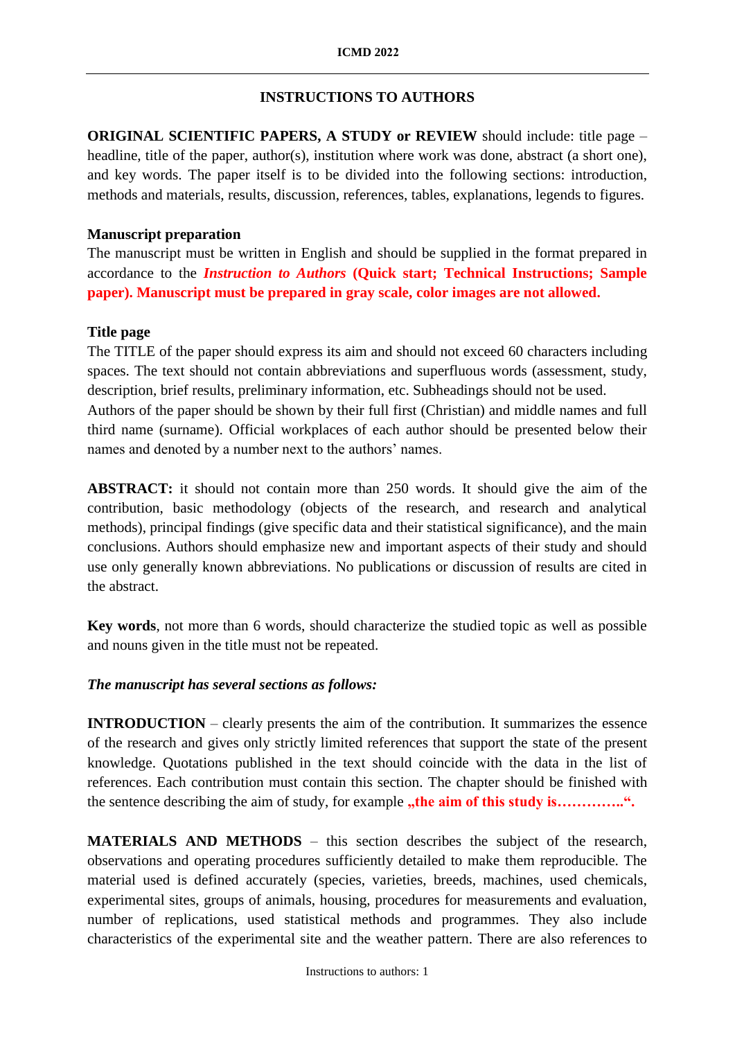# **INSTRUCTIONS TO AUTHORS**

**ORIGINAL SCIENTIFIC PAPERS, A STUDY or REVIEW** should include: title page – headline, title of the paper, author(s), institution where work was done, abstract (a short one), and key words. The paper itself is to be divided into the following sections: introduction, methods and materials, results, discussion, references, tables, explanations, legends to figures.

## **Manuscript preparation**

The manuscript must be written in English and should be supplied in the format prepared in accordance to the *Instruction to Authors* **(Quick start; Technical Instructions; Sample paper). Manuscript must be prepared in gray scale, color images are not allowed.**

# **Title page**

The TITLE of the paper should express its aim and should not exceed 60 characters including spaces. The text should not contain abbreviations and superfluous words (assessment, study, description, brief results, preliminary information, etc. Subheadings should not be used.

Authors of the paper should be shown by their full first (Christian) and middle names and full third name (surname). Official workplaces of each author should be presented below their names and denoted by a number next to the authors' names.

**ABSTRACT:** it should not contain more than 250 words. It should give the aim of the contribution, basic methodology (objects of the research, and research and analytical methods), principal findings (give specific data and their statistical significance), and the main conclusions. Authors should emphasize new and important aspects of their study and should use only generally known abbreviations. No publications or discussion of results are cited in the abstract.

**Key words**, not more than 6 words, should characterize the studied topic as well as possible and nouns given in the title must not be repeated.

# *The manuscript has several sections as follows:*

**INTRODUCTION** – clearly presents the aim of the contribution. It summarizes the essence of the research and gives only strictly limited references that support the state of the present knowledge. Quotations published in the text should coincide with the data in the list of references. Each contribution must contain this section. The chapter should be finished with the sentence describing the aim of study, for example **,the aim of this study is...............**".

**MATERIALS AND METHODS** – this section describes the subject of the research, observations and operating procedures sufficiently detailed to make them reproducible. The material used is defined accurately (species, varieties, breeds, machines, used chemicals, experimental sites, groups of animals, housing, procedures for measurements and evaluation, number of replications, used statistical methods and programmes. They also include characteristics of the experimental site and the weather pattern. There are also references to